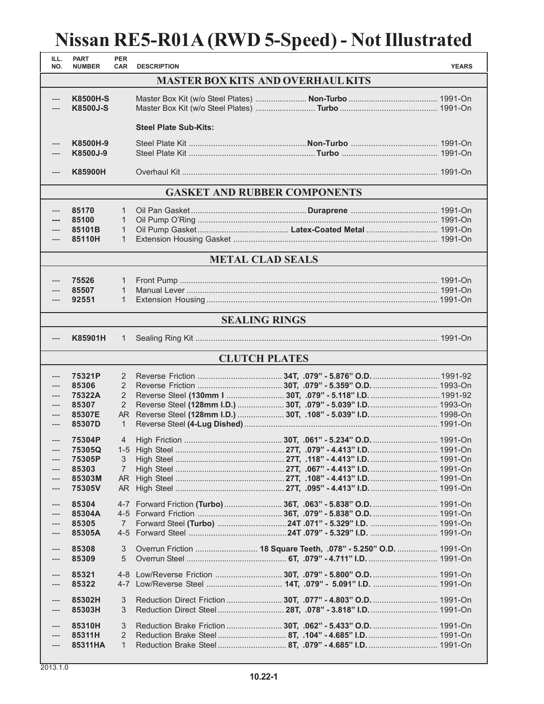## **Nissan RE5-R01A (RWD 5-Speed) - Not Illustrated**

| ILL.<br>NO.                              | <b>PART</b><br><b>NUMBER</b>       | <b>PER</b><br><b>CAR</b> | <b>DESCRIPTION</b>           |                                                                 | <b>YEARS</b> |  |  |  |  |  |
|------------------------------------------|------------------------------------|--------------------------|------------------------------|-----------------------------------------------------------------|--------------|--|--|--|--|--|
| <b>MASTER BOX KITS AND OVERHAUL KITS</b> |                                    |                          |                              |                                                                 |              |  |  |  |  |  |
| ---<br>$---$                             | <b>K8500H-S</b><br><b>K8500J-S</b> |                          |                              |                                                                 |              |  |  |  |  |  |
|                                          |                                    |                          | <b>Steel Plate Sub-Kits:</b> |                                                                 |              |  |  |  |  |  |
| ---<br>---                               | K8500H-9<br>K8500J-9               |                          |                              |                                                                 |              |  |  |  |  |  |
| $---$                                    | <b>K85900H</b>                     |                          |                              |                                                                 |              |  |  |  |  |  |
| <b>GASKET AND RUBBER COMPONENTS</b>      |                                    |                          |                              |                                                                 |              |  |  |  |  |  |
| ---                                      | 85170                              | 1                        |                              |                                                                 |              |  |  |  |  |  |
| ---                                      | 85100                              | 1                        |                              |                                                                 |              |  |  |  |  |  |
|                                          | 85101B                             | $\mathbf{1}$             |                              |                                                                 |              |  |  |  |  |  |
| ---                                      | 85110H                             | $\mathbf{1}$             |                              |                                                                 |              |  |  |  |  |  |
| <b>METAL CLAD SEALS</b>                  |                                    |                          |                              |                                                                 |              |  |  |  |  |  |
|                                          |                                    |                          |                              |                                                                 |              |  |  |  |  |  |
| ---<br>---                               | 75526<br>85507                     | 1<br>$\mathbf{1}$        |                              |                                                                 |              |  |  |  |  |  |
| ---                                      | 92551                              | $\mathbf{1}$             |                              |                                                                 |              |  |  |  |  |  |
|                                          |                                    |                          |                              |                                                                 |              |  |  |  |  |  |
|                                          |                                    |                          |                              | <b>SEALING RINGS</b>                                            |              |  |  |  |  |  |
| $---$                                    | K85901H                            | $\mathbf{1}$             |                              |                                                                 |              |  |  |  |  |  |
| <b>CLUTCH PLATES</b>                     |                                    |                          |                              |                                                                 |              |  |  |  |  |  |
| ---                                      | 75321P                             | 2                        |                              |                                                                 |              |  |  |  |  |  |
| $---$                                    | 85306                              | 2                        |                              |                                                                 |              |  |  |  |  |  |
| ---                                      | 75322A                             | 2                        |                              |                                                                 |              |  |  |  |  |  |
| $---$                                    | 85307                              | 2                        |                              | Reverse Steel (128mm I.D.)  30T, .079" - 5.039" I.D.  1993-On   |              |  |  |  |  |  |
| ---                                      | 85307E                             | AR.                      |                              | Reverse Steel (128mm I.D.)  30T, .108" - 5.039" I.D.  1998-On   |              |  |  |  |  |  |
| $\qquad \qquad - -$                      | 85307D                             | 1                        |                              |                                                                 |              |  |  |  |  |  |
| $---$                                    | 75304P                             | 4                        |                              |                                                                 |              |  |  |  |  |  |
| $---$                                    | 75305Q                             |                          |                              |                                                                 |              |  |  |  |  |  |
| ---                                      | 75305P                             | 3                        |                              |                                                                 |              |  |  |  |  |  |
|                                          | 85303                              | 7                        |                              |                                                                 |              |  |  |  |  |  |
|                                          | 85303M                             |                          |                              |                                                                 |              |  |  |  |  |  |
| ---                                      | 75305V                             |                          |                              |                                                                 |              |  |  |  |  |  |
| ---                                      | 85304                              |                          |                              |                                                                 |              |  |  |  |  |  |
|                                          | 85304A                             |                          |                              |                                                                 |              |  |  |  |  |  |
|                                          | 85305                              | 7                        |                              |                                                                 |              |  |  |  |  |  |
|                                          | 85305A                             | $4 - 5$                  |                              |                                                                 |              |  |  |  |  |  |
|                                          | 85308                              | 3                        |                              | Overrun Friction  18 Square Teeth, .078" - 5.250" O.D.  1991-On |              |  |  |  |  |  |
| ---                                      | 85309                              | 5                        |                              |                                                                 |              |  |  |  |  |  |
| ---                                      | 85321                              |                          |                              |                                                                 |              |  |  |  |  |  |
| ---                                      | 85322                              |                          |                              |                                                                 |              |  |  |  |  |  |
|                                          |                                    |                          |                              |                                                                 |              |  |  |  |  |  |
| ---                                      | 85302H<br>85303H                   | 3<br>3                   |                              | Reduction Direct Friction  30T, .077" - 4.803" O.D.  1991-On    |              |  |  |  |  |  |
|                                          |                                    |                          |                              |                                                                 |              |  |  |  |  |  |
| ---                                      | 85310H                             | 3                        |                              | Reduction Brake Friction  30T, .062" - 5.433" O.D.  1991-On     |              |  |  |  |  |  |
|                                          | 85311H                             | $\overline{2}$           |                              | Reduction Brake Steel 8T, .104" - 4.685" I.D 1991-On            |              |  |  |  |  |  |
| ---                                      | 85311HA                            | $\mathbf{1}$             |                              |                                                                 |              |  |  |  |  |  |

. I